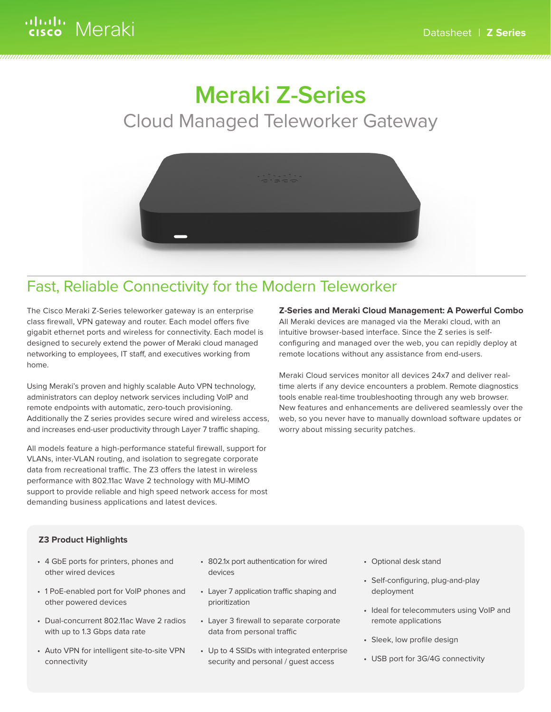# **Meraki Z-Series**  Cloud Managed Teleworker Gateway



### Fast, Reliable Connectivity for the Modern Teleworker

The Cisco Meraki Z-Series teleworker gateway is an enterprise class firewall, VPN gateway and router. Each model offers five gigabit ethernet ports and wireless for connectivity. Each model is designed to securely extend the power of Meraki cloud managed networking to employees, IT staff, and executives working from home.

Using Meraki's proven and highly scalable Auto VPN technology, administrators can deploy network services including VoIP and remote endpoints with automatic, zero-touch provisioning. Additionally the Z series provides secure wired and wireless access, and increases end-user productivity through Layer 7 traffic shaping.

All models feature a high-performance stateful firewall, support for VLANs, inter-VLAN routing, and isolation to segregate corporate data from recreational traffic. The Z3 offers the latest in wireless performance with 802.11ac Wave 2 technology with MU-MIMO support to provide reliable and high speed network access for most demanding business applications and latest devices.

### **Z-Series and Meraki Cloud Management: A Powerful Combo**

All Meraki devices are managed via the Meraki cloud, with an intuitive browser-based interface. Since the Z series is selfconfiguring and managed over the web, you can repidly deploy at remote locations without any assistance from end-users.

Meraki Cloud services monitor all devices 24x7 and deliver realtime alerts if any device encounters a problem. Remote diagnostics tools enable real-time troubleshooting through any web browser. New features and enhancements are delivered seamlessly over the web, so you never have to manually download software updates or worry about missing security patches.

### **Z3 Product Highlights**

- 4 GbE ports for printers, phones and other wired devices
- 1 PoE-enabled port for VoIP phones and other powered devices
- Dual-concurrent 802.11ac Wave 2 radios with up to 1.3 Gbps data rate
- Auto VPN for intelligent site-to-site VPN connectivity
- 802.1x port authentication for wired devices
- Layer 7 application traffic shaping and prioritization
- Layer 3 firewall to separate corporate data from personal traffic
- Up to 4 SSIDs with integrated enterprise security and personal / guest access
- Optional desk stand
- Self-configuring, plug-and-play deployment
- Ideal for telecommuters using VoIP and remote applications
- Sleek, low profile design
- USB port for 3G/4G connectivity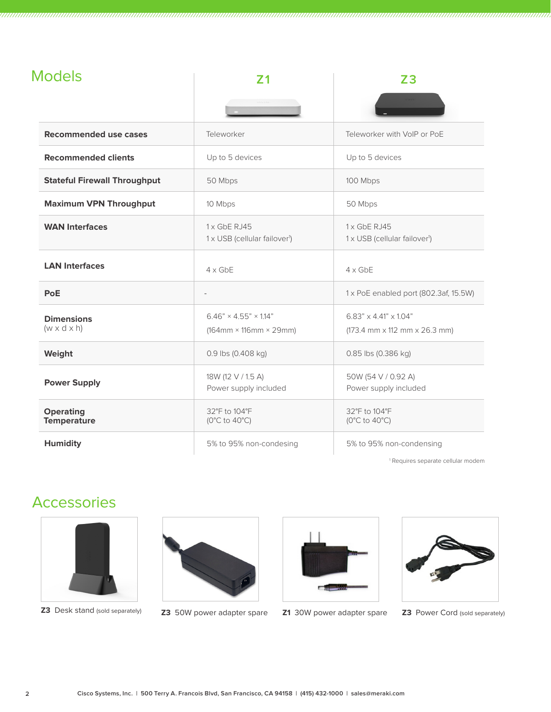| <b>Models</b> |                |                        |
|---------------|----------------|------------------------|
|               | <b>FANDARY</b> | <b>START OF STREET</b> |
|               |                | -                      |

| Recommended use cases                        | Teleworker                                                                                      | Teleworker with VoIP or PoE                                                                            |
|----------------------------------------------|-------------------------------------------------------------------------------------------------|--------------------------------------------------------------------------------------------------------|
| <b>Recommended clients</b>                   | Up to 5 devices                                                                                 | Up to 5 devices                                                                                        |
| <b>Stateful Firewall Throughput</b>          | 50 Mbps                                                                                         | 100 Mbps                                                                                               |
| <b>Maximum VPN Throughput</b>                | 10 Mbps                                                                                         | 50 Mbps                                                                                                |
| <b>WAN Interfaces</b>                        | 1 x GbE RJ45<br>1 x USB (cellular failover <sup>1</sup> )                                       | $1x$ GbE RJ45<br>1 x USB (cellular failover <sup>1</sup> )                                             |
| <b>LAN Interfaces</b>                        | $4 \times$ GbE<br>$4 \times$ GbE                                                                |                                                                                                        |
| PoE                                          |                                                                                                 | 1 x PoE enabled port (802.3af, 15.5W)                                                                  |
| <b>Dimensions</b><br>$(w \times d \times h)$ | $6.46" \times 4.55" \times 1.14"$<br>$(164 \text{mm} \times 116 \text{mm} \times 29 \text{mm})$ | $6.83" \times 4.41" \times 1.04"$<br>$(173.4 \text{ mm} \times 112 \text{ mm} \times 26.3 \text{ mm})$ |
| Weight                                       | 0.9 lbs (0.408 kg)                                                                              | 0.85 lbs (0.386 kg)                                                                                    |
| <b>Power Supply</b>                          | 18W (12 V / 1.5 A)<br>Power supply included                                                     | 50W (54 V / 0.92 A)<br>Power supply included                                                           |
| <b>Operating</b><br><b>Temperature</b>       | 32°F to 104°F<br>$(0^{\circ}C$ to $40^{\circ}C)$                                                | 32°F to 104°F<br>$(0^{\circ}C$ to $40^{\circ}C)$                                                       |
| <b>Humidity</b>                              | 5% to 95% non-condesing                                                                         | 5% to 95% non-condensing                                                                               |

1 Requires separate cellular modem

### Accessories







**Z3** Desk stand (sold separately) **Z3** 50W power adapter spare **Z1** 30W power adapter spare **Z3** Power Cord (sold separately)

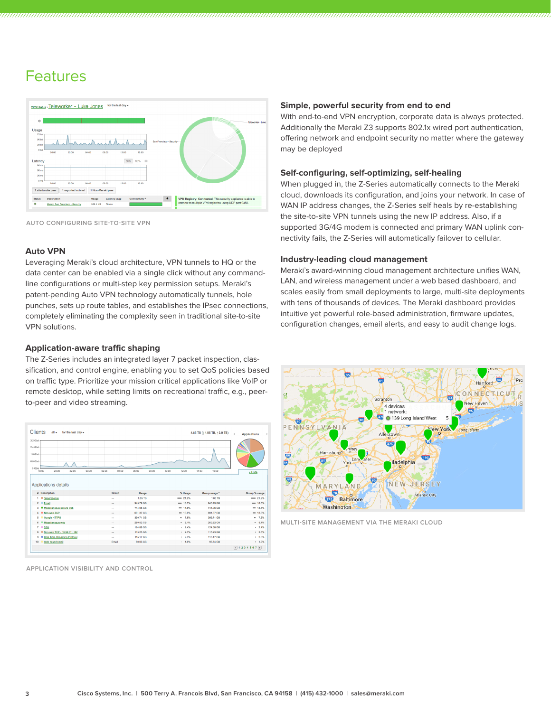### Features



**AUTO CONFIGURING SITE-TO-SITE VPN**

#### **Auto VPN**

Leveraging Meraki's cloud architecture, VPN tunnels to HQ or the data center can be enabled via a single click without any commandline configurations or multi-step key permission setups. Meraki's patent-pending Auto VPN technology automatically tunnels, hole punches, sets up route tables, and establishes the IPsec connections, completely eliminating the complexity seen in traditional site-to-site VPN solutions.

#### **Application-aware traffic shaping**

The Z-Series includes an integrated layer 7 packet inspection, classification, and control engine, enabling you to set QoS policies based on traffic type. Prioritize your mission critical applications like VoIP or remote desktop, while setting limits on recreational traffic, e.g., peerto-peer and video streaming.



**APPLICATION VISIBILITY AND CONTROL**

#### **Simple, powerful security from end to end**

With end-to-end VPN encryption, corporate data is always protected. Additionally the Meraki Z3 supports 802.1x wired port authentication, offering network and endpoint security no matter where the gateway may be deployed

#### **Self-configuring, self-optimizing, self-healing**

When plugged in, the Z-Series automatically connects to the Meraki cloud, downloads its configuration, and joins your network. In case of WAN IP address changes, the Z-Series self heals by re-establishing the site-to-site VPN tunnels using the new IP address. Also, if a supported 3G/4G modem is connected and primary WAN uplink connectivity fails, the Z-Series will automatically failover to cellular.

#### **Industry-leading cloud management**

Meraki's award-winning cloud management architecture unifies WAN, LAN, and wireless management under a web based dashboard, and scales easily from small deployments to large, multi-site deployments with tens of thousands of devices. The Meraki dashboard provides intuitive yet powerful role-based administration, firmware updates, configuration changes, email alerts, and easy to audit change logs.



**MULTI-SITE MANAGEMENT VIA THE MERAKI CLOUD**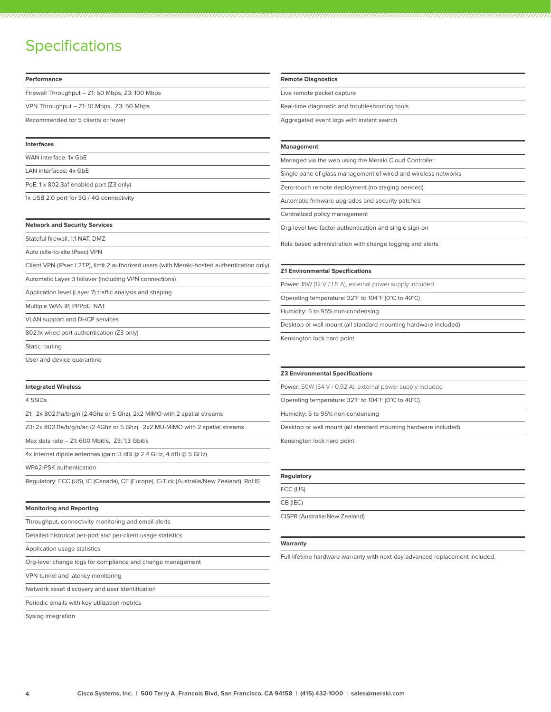### **Specifications**

| Performance                                                                                | <b>Remote Diagnostics</b>                                       |  |
|--------------------------------------------------------------------------------------------|-----------------------------------------------------------------|--|
| Firewall Throughput - Z1: 50 Mbps, Z3: 100 Mbps                                            | Live remote packet capture                                      |  |
| VPN Throughput - Z1: 10 Mbps, Z3: 50 Mbps                                                  | Real-time diagnostic and troubleshooting tools                  |  |
| Recommended for 5 clients or fewer                                                         | Aggregated event logs with instant search                       |  |
| Interfaces                                                                                 | <b>Management</b>                                               |  |
| WAN interface: 1x GbE                                                                      | Managed via the web using the Meraki Cloud Controller           |  |
| LAN interfaces: 4x GbE                                                                     | Single pane of glass management of wired and wireless networks  |  |
| PoE: 1 x 802.3af enabled port (Z3 only)                                                    | Zero-touch remote deployment (no staging needed)                |  |
| 1x USB 2.0 port for 3G / 4G connectivity                                                   | Automatic firmware upgrades and security patches                |  |
|                                                                                            | Centralized policy management                                   |  |
| <b>Network and Security Services</b>                                                       | Org-level two-factor authentication and single sign-on          |  |
| Stateful firewall, 1:1 NAT, DMZ                                                            | Role based administration with change logging and alerts        |  |
| Auto (site-to-site IPsec) VPN                                                              |                                                                 |  |
| Client VPN (IPsec L2TP), limit 2 authorized users (with Meraki-hosted authentication only) | <b>Z1 Environmental Specifications</b>                          |  |
| Automatic Layer 3 failover (including VPN connections)                                     | Power: 18W (12 V / 1.5 A), external power supply included       |  |
| Application level (Layer 7) traffic analysis and shaping                                   | Operating temperature: 32°F to 104°F (0°C to 40°C)              |  |
| Multiple WAN IP, PPPoE, NAT                                                                | Humidity: 5 to 95% non-condensing                               |  |
| <b>VLAN support and DHCP services</b>                                                      | Desktop or wall mount (all standard mounting hardware included) |  |
| 802.1x wired port authentication (Z3 only)                                                 | Kensington lock hard point                                      |  |
| Static routing                                                                             |                                                                 |  |
| User and device quarantine                                                                 |                                                                 |  |
|                                                                                            | <b>Z3 Environmental Specifications</b>                          |  |
| <b>Integrated Wireless</b>                                                                 | Power: 50W (54 V / 0.92 A), external power supply included      |  |
| 4 SSIDs                                                                                    | Operating temperature: 32°F to 104°F (0°C to 40°C)              |  |
| Z1: $2x$ 802.11a/b/g/n (2.4Ghz or 5 Ghz), $2x2$ MIMO with 2 spatial streams                | Humidity: 5 to 95% non-condensing                               |  |
| Z3: 2x 802.11a/b/g/n/ac (2.4Ghz or 5 Ghz), 2x2 MU-MIMO with 2 spatial streams              | Desktop or wall mount (all standard mounting hardware included) |  |

Max data rate – Z1: 600 Mbit/s, Z3: 1.3 Gbit/s

4x internal dipole antennas (gain: 3 dBi @ 2.4 GHz, 4 dBi @ 5 GHz)

WPA2-PSK authentication

Regulatory: FCC (US), IC (Canada), CE (Europe), C-Tick (Australia/New Zealand), RoHS

**Monitoring and Reporting**

Throughput, connectivity monitoring and email alerts

Detailed historical per-port and per-client usage statistics

Application usage statistics

Org-level change logs for compliance and change management

VPN tunnel and latency monitoring

Network asset discovery and user identification

Periodic emails with key utilization metrics

Syslog integration

Kensington lock hard point

#### **Regulatory**

FCC (US)

CB (IEC)

CISPR (Australia/New Zealand)

#### **Warranty**

Full lifetime hardware warranty with next-day advanced replacement included.